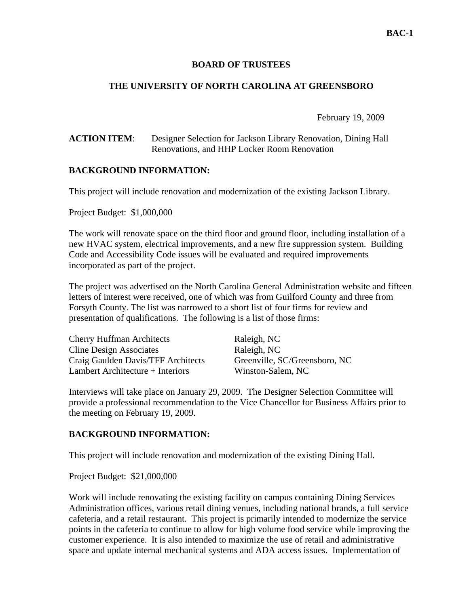### **BOARD OF TRUSTEES**

## **THE UNIVERSITY OF NORTH CAROLINA AT GREENSBORO**

February 19, 2009

#### **ACTION ITEM**: Designer Selection for Jackson Library Renovation, Dining Hall Renovations, and HHP Locker Room Renovation

#### **BACKGROUND INFORMATION:**

This project will include renovation and modernization of the existing Jackson Library.

Project Budget: \$1,000,000

The work will renovate space on the third floor and ground floor, including installation of a new HVAC system, electrical improvements, and a new fire suppression system. Building Code and Accessibility Code issues will be evaluated and required improvements incorporated as part of the project.

The project was advertised on the North Carolina General Administration website and fifteen letters of interest were received, one of which was from Guilford County and three from Forsyth County. The list was narrowed to a short list of four firms for review and presentation of qualifications. The following is a list of those firms:

| <b>Cherry Huffman Architects</b>   | Raleigh, NC                   |
|------------------------------------|-------------------------------|
| <b>Cline Design Associates</b>     | Raleigh, NC                   |
| Craig Gaulden Davis/TFF Architects | Greenville, SC/Greensboro, NC |
| Lambert Architecture + Interiors   | Winston-Salem, NC             |

Interviews will take place on January 29, 2009. The Designer Selection Committee will provide a professional recommendation to the Vice Chancellor for Business Affairs prior to the meeting on February 19, 2009.

#### **BACKGROUND INFORMATION:**

This project will include renovation and modernization of the existing Dining Hall.

Project Budget: \$21,000,000

Work will include renovating the existing facility on campus containing Dining Services Administration offices, various retail dining venues, including national brands, a full service cafeteria, and a retail restaurant. This project is primarily intended to modernize the service points in the cafeteria to continue to allow for high volume food service while improving the customer experience. It is also intended to maximize the use of retail and administrative space and update internal mechanical systems and ADA access issues. Implementation of